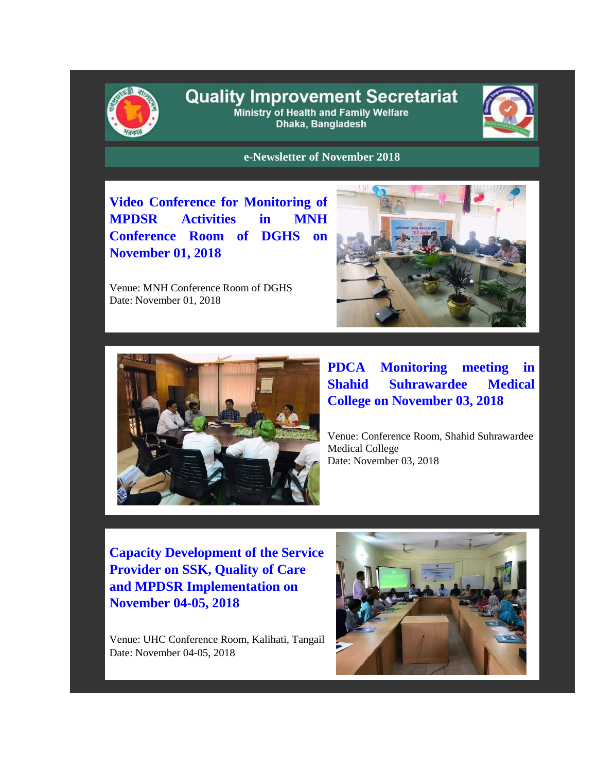

## **Quality Improvement Secretariat** Ministry of Health and Family Welfare

Dhaka, Bangladesh



**e-Newsletter of November 2018**

**Video Conference for Monitoring of MPDSR Activities in MNH Conference Room of DGHS on November 01, 2018**

Venue: MNH Conference Room of DGHS Date: November 01, 2018





**PDCA Monitoring meeting in Shahid Suhrawardee Medical College on November 03, 2018**

Venue: Conference Room, Shahid Suhrawardee Medical College Date: November 03, 2018

**Capacity Development of the Service Provider on SSK, Quality of Care and MPDSR Implementation on November 04-05, 2018**

Venue: UHC Conference Room, Kalihati, Tangail Date: November 04-05, 2018

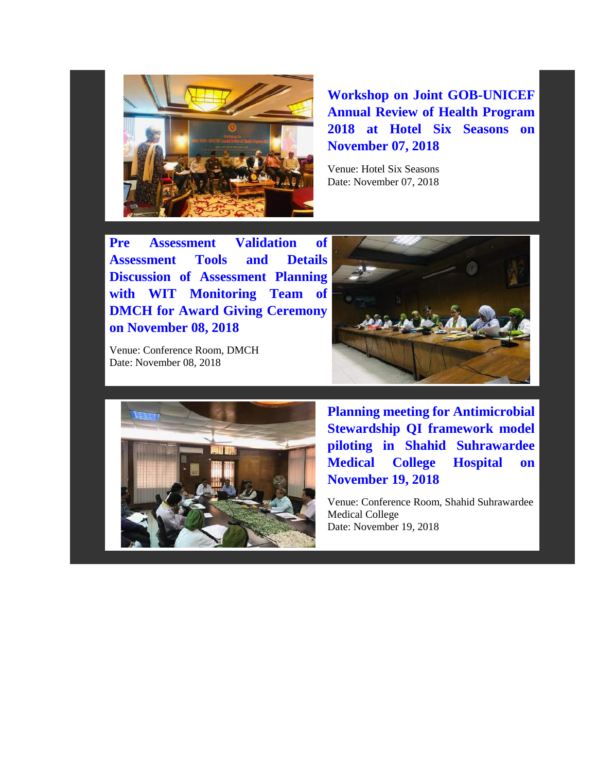

**Workshop on Joint GOB-UNICEF Annual Review of Health Program 2018 at Hotel Six Seasons on November 07, 2018**

Venue: Hotel Six Seasons Date: November 07, 2018

**Pre Assessment Validation of Assessment Tools and Details Discussion of Assessment Planning with WIT Monitoring Team of DMCH for Award Giving Ceremony on November 08, 2018**

Venue: Conference Room, DMCH Date: November 08, 2018





**Planning meeting for Antimicrobial Stewardship QI framework model piloting in Shahid Suhrawardee Medical College Hospital on November 19, 2018**

Venue: Conference Room, Shahid Suhrawardee Medical College Date: November 19, 2018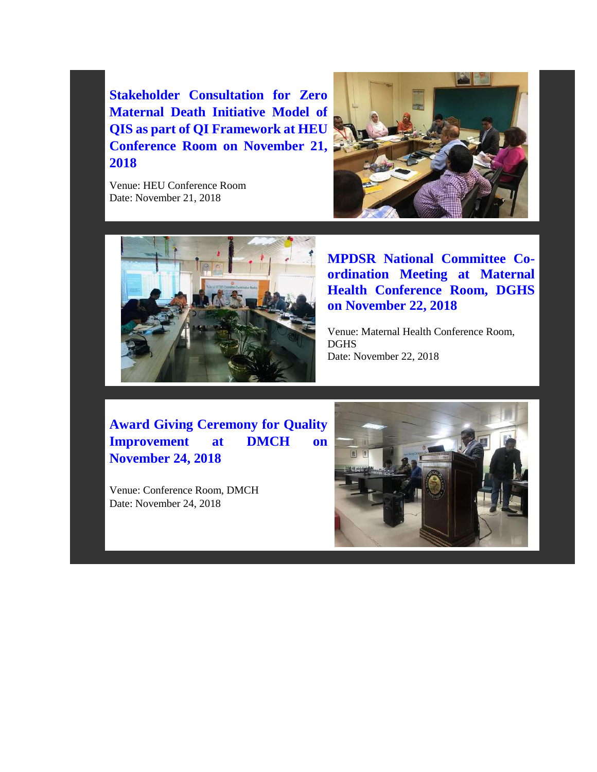**Stakeholder Consultation for Zero Maternal Death Initiative Model of QIS as part of QI Framework at HEU Conference Room on November 21, 2018**

Venue: HEU Conference Room Date: November 21, 2018





**MPDSR National Committee Coordination Meeting at Maternal Health Conference Room, DGHS on November 22, 2018**

Venue: Maternal Health Conference Room, DGHS Date: November 22, 2018

**Award Giving Ceremony for Quality Improvement at DMCH on November 24, 2018**

Venue: Conference Room, DMCH Date: November 24, 2018